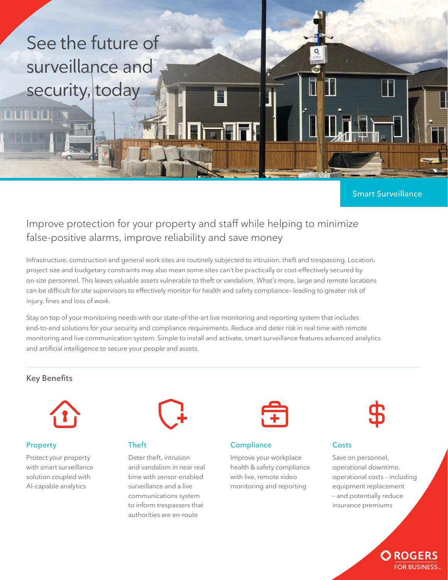

# **Smart Surveillance**

# Improve protection for your property and staff while helping to minimize false-positive alarms, improve reliability and save money

Infrastructure, construction and general work sites are routinely subjected to intrusion, theft and trespassing. Location, project size and budgetary constraints may also mean some sites can't be practically or cost-effectively secured by on-site personnel. This leaves valuable assets vulnerable to theft or vandalism. What's more, large and remote locations can be difficult for site supervisors to effectively monitor for health and safety compliance—leading to greater risk of injury, fines and loss of work.

Stay on top of your monitoring needs with our state-of-the-art live monitoring and reporting system that includes end-to-end solutions for your security and compliance requirements. Reduce and deter risk in real time with remote monitoring and live communication system. Simple to install and activate, smart surveillance features advanced analytics and artificial intelligence to secure your people and assets.

## **Key Benefits**



## **Property**

Protect your property with smart surveillance solution coupled with AI-capable analytics



# **Theft**

Deter theft, intrusion and vandalism in near real time with sensor-enabled surveillance and a live communications system to inform trespassers that authorities are en-route



## **Compliance**

Improve your workplace health & safety compliance with live, remote video monitoring and reporting



# **Costs**

Save on personnel, operational downtime, operational costs – including equipment replacement – and potentially reduce insurance premiums